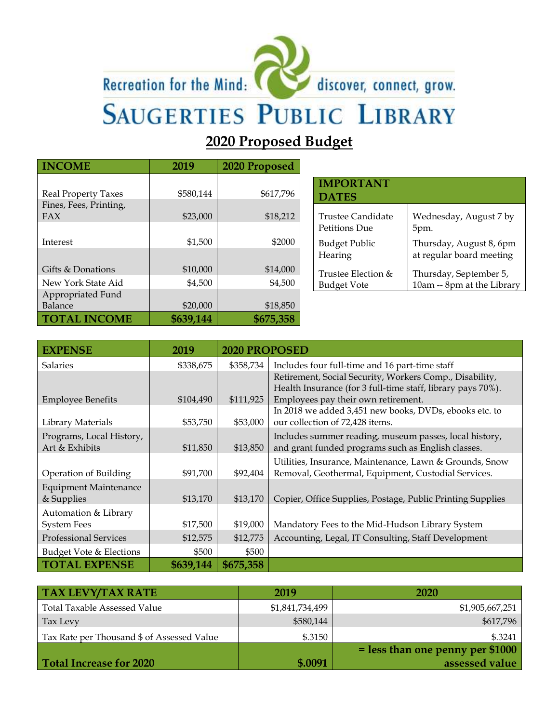## Recreation for the Mind:



discover, connect, grow.

# **SAUGERTIES PUBLIC LIBRARY**

### **2020 Proposed Budget**

| <b>INCOME</b>              | 2019      | 2020 Proposed |
|----------------------------|-----------|---------------|
|                            |           |               |
| <b>Real Property Taxes</b> | \$580,144 | \$617,796     |
| Fines, Fees, Printing,     |           |               |
| FAX                        | \$23,000  | \$18,212      |
|                            |           |               |
| Interest                   | \$1,500   | \$2000        |
|                            |           |               |
| Gifts & Donations          | \$10,000  | \$14,000      |
| New York State Aid         | \$4,500   | \$4,500       |
| Appropriated Fund          |           |               |
| Balance                    | \$20,000  | \$18,850      |
| <b>TOTAL INCOME</b>        | \$639,144 | \$675,358     |

| <b>IMPORTANT</b><br><b>DATES</b> |                            |
|----------------------------------|----------------------------|
| Trustee Candidate                | Wednesday, August 7 by     |
| Petitions Due                    | 5pm.                       |
| <b>Budget Public</b>             | Thursday, August 8, 6pm    |
| Hearing                          | at regular board meeting   |
| Trustee Election &               | Thursday, September 5,     |
| <b>Budget Vote</b>               | 10am -- 8pm at the Library |

| <b>EXPENSE</b>               | 2019      | 2020 PROPOSED |                                                             |
|------------------------------|-----------|---------------|-------------------------------------------------------------|
| <b>Salaries</b>              | \$338,675 | \$358,734     | Includes four full-time and 16 part-time staff              |
|                              |           |               | Retirement, Social Security, Workers Comp., Disability,     |
|                              |           |               | Health Insurance (for 3 full-time staff, library pays 70%). |
| <b>Employee Benefits</b>     | \$104,490 | \$111,925     | Employees pay their own retirement.                         |
|                              |           |               | In 2018 we added 3,451 new books, DVDs, ebooks etc. to      |
| Library Materials            | \$53,750  | \$53,000      | our collection of 72,428 items.                             |
| Programs, Local History,     |           |               | Includes summer reading, museum passes, local history,      |
| Art & Exhibits               | \$11,850  | \$13,850      | and grant funded programs such as English classes.          |
|                              |           |               | Utilities, Insurance, Maintenance, Lawn & Grounds, Snow     |
| Operation of Building        | \$91,700  | \$92,404      | Removal, Geothermal, Equipment, Custodial Services.         |
| <b>Equipment Maintenance</b> |           |               |                                                             |
| & Supplies                   | \$13,170  | \$13,170      | Copier, Office Supplies, Postage, Public Printing Supplies  |
| Automation & Library         |           |               |                                                             |
| <b>System Fees</b>           | \$17,500  | \$19,000      | Mandatory Fees to the Mid-Hudson Library System             |
| <b>Professional Services</b> | \$12,575  | \$12,775      | Accounting, Legal, IT Consulting, Staff Development         |
| Budget Vote & Elections      | \$500     | \$500         |                                                             |
| <b>TOTAL EXPENSE</b>         | \$639,144 | \$675,358     |                                                             |

| <b>TAX LEVY/TAX RATE</b>                   | 2019            | 2020                               |
|--------------------------------------------|-----------------|------------------------------------|
| Total Taxable Assessed Value               | \$1,841,734,499 | \$1,905,667,251                    |
| Tax Levy                                   | \$580,144       | \$617,796                          |
| Tax Rate per Thousand \$ of Assessed Value | \$.3150         | \$.3241                            |
|                                            |                 | $=$ less than one penny per \$1000 |
| Total Increase for 2020                    | \$.0091         | assessed value                     |